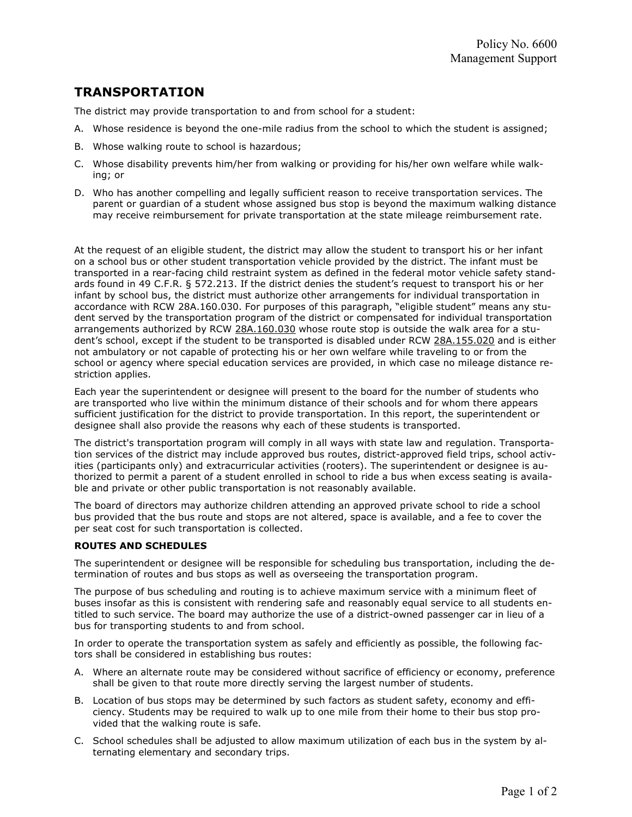## TRANSPORTATION

The district may provide transportation to and from school for a student:

- A. Whose residence is beyond the one-mile radius from the school to which the student is assigned;
- B. Whose walking route to school is hazardous;
- C. Whose disability prevents him/her from walking or providing for his/her own welfare while walking; or
- D. Who has another compelling and legally sufficient reason to receive transportation services. The parent or guardian of a student whose assigned bus stop is beyond the maximum walking distance may receive reimbursement for private transportation at the state mileage reimbursement rate.

At the request of an eligible student, the district may allow the student to transport his or her infant on a school bus or other student transportation vehicle provided by the district. The infant must be transported in a rear-facing child restraint system as defined in the federal motor vehicle safety standards found in 49 C.F.R. § 572.213. If the district denies the student's request to transport his or her infant by school bus, the district must authorize other arrangements for individual transportation in accordance with RCW 28A.160.030. For purposes of this paragraph, "eligible student" means any student served by the transportation program of the district or compensated for individual transportation arrangements authorized by RCW 28A.160.030 whose route stop is outside the walk area for a student's school, except if the student to be transported is disabled under RCW 28A.155.020 and is either not ambulatory or not capable of protecting his or her own welfare while traveling to or from the school or agency where special education services are provided, in which case no mileage distance restriction applies.

Each year the superintendent or designee will present to the board for the number of students who are transported who live within the minimum distance of their schools and for whom there appears sufficient justification for the district to provide transportation. In this report, the superintendent or designee shall also provide the reasons why each of these students is transported.

The district's transportation program will comply in all ways with state law and regulation. Transportation services of the district may include approved bus routes, district-approved field trips, school activities (participants only) and extracurricular activities (rooters). The superintendent or designee is authorized to permit a parent of a student enrolled in school to ride a bus when excess seating is available and private or other public transportation is not reasonably available.

The board of directors may authorize children attending an approved private school to ride a school bus provided that the bus route and stops are not altered, space is available, and a fee to cover the per seat cost for such transportation is collected.

## ROUTES AND SCHEDULES

The superintendent or designee will be responsible for scheduling bus transportation, including the determination of routes and bus stops as well as overseeing the transportation program.

The purpose of bus scheduling and routing is to achieve maximum service with a minimum fleet of buses insofar as this is consistent with rendering safe and reasonably equal service to all students entitled to such service. The board may authorize the use of a district-owned passenger car in lieu of a bus for transporting students to and from school.

In order to operate the transportation system as safely and efficiently as possible, the following factors shall be considered in establishing bus routes:

- A. Where an alternate route may be considered without sacrifice of efficiency or economy, preference shall be given to that route more directly serving the largest number of students.
- B. Location of bus stops may be determined by such factors as student safety, economy and efficiency. Students may be required to walk up to one mile from their home to their bus stop provided that the walking route is safe.
- C. School schedules shall be adjusted to allow maximum utilization of each bus in the system by alternating elementary and secondary trips.